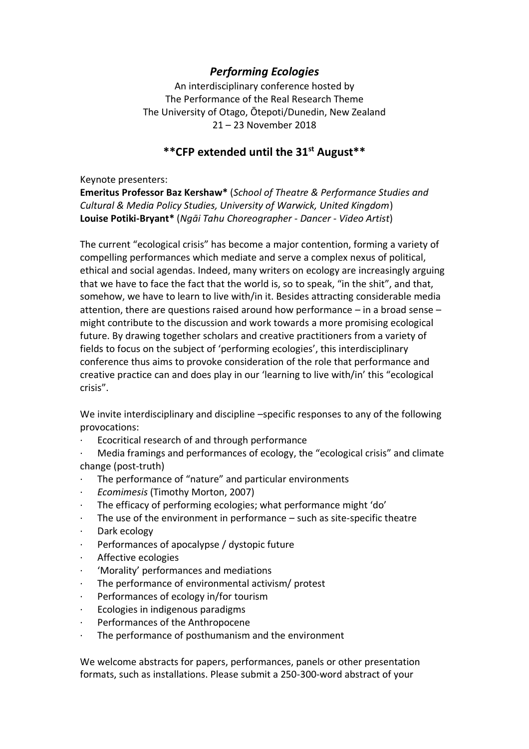## *Performing Ecologies*

An interdisciplinary conference hosted by The Performance of the Real Research Theme The University of Otago, Ōtepoti/Dunedin, New Zealand 21 – 23 November 2018

## **\*\*CFP extended until the 31st August\*\***

Keynote presenters:

**Emeritus Professor Baz Kershaw\*** (*School of Theatre & Performance Studies and Cultural & Media Policy Studies, University of Warwick, United Kingdom*) **Louise Potiki-Bryant\*** (*Ngāi Tahu Choreographer - Dancer - Video Artist*)

The current "ecological crisis" has become a major contention, forming a variety of compelling performances which mediate and serve a complex nexus of political, ethical and social agendas. Indeed, many writers on ecology are increasingly arguing that we have to face the fact that the world is, so to speak, "in the shit", and that, somehow, we have to learn to live with/in it. Besides attracting considerable media attention, there are questions raised around how performance – in a broad sense – might contribute to the discussion and work towards a more promising ecological future. By drawing together scholars and creative practitioners from a variety of fields to focus on the subject of 'performing ecologies', this interdisciplinary conference thus aims to provoke consideration of the role that performance and creative practice can and does play in our 'learning to live with/in' this "ecological crisis".

We invite interdisciplinary and discipline –specific responses to any of the following provocations:

- Ecocritical research of and through performance
- Media framings and performances of ecology, the "ecological crisis" and climate change (post-truth)
- The performance of "nature" and particular environments
- · *Ecomimesis* (Timothy Morton, 2007)
- · The efficacy of performing ecologies; what performance might 'do'
- The use of the environment in performance  $-$  such as site-specific theatre
- · Dark ecology
- · Performances of apocalypse / dystopic future
- Affective ecologies
- · 'Morality' performances and mediations
- The performance of environmental activism/ protest
- · Performances of ecology in/for tourism
- · Ecologies in indigenous paradigms
- Performances of the Anthropocene
- The performance of posthumanism and the environment

We welcome abstracts for papers, performances, panels or other presentation formats, such as installations. Please submit a 250-300-word abstract of your